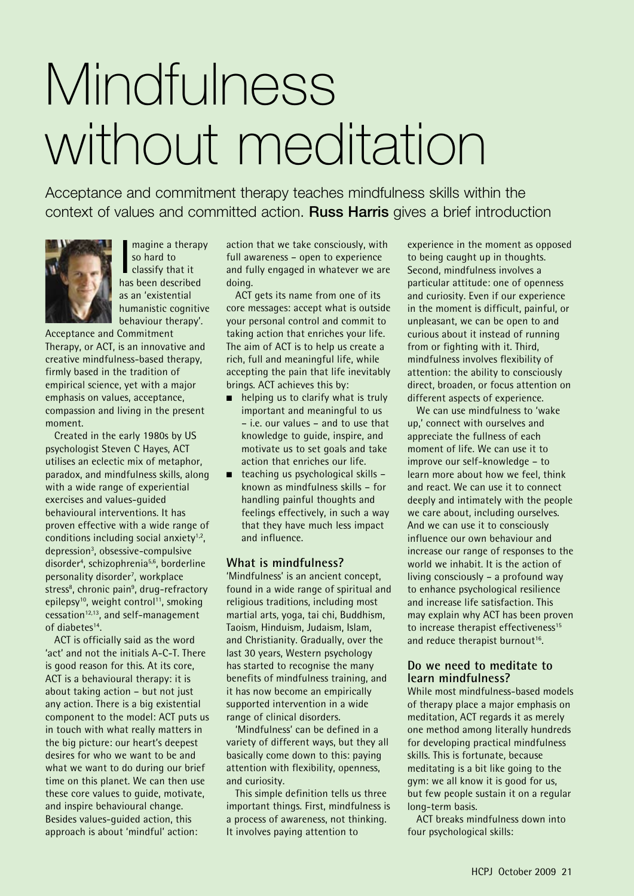# Mindfulness without meditation

Acceptance and commitment therapy teaches mindfulness skills within the context of values and committed action. Russ Harris gives a brief introduction



Imagine a therap<br>so hard to<br>classify that it<br>has been described magine a therapy so hard to classify that it as an 'existential humanistic cognitive behaviour therapy'.

Acceptance and Commitment Therapy, or ACT, is an innovative and creative mindfulness-based therapy, firmly based in the tradition of empirical science, yet with a major emphasis on values, acceptance, compassion and living in the present moment.

Created in the early 1980s by US psychologist Steven C Hayes, ACT utilises an eclectic mix of metaphor, paradox, and mindfulness skills, along with a wide range of experiential exercises and values-guided behavioural interventions. It has proven effective with a wide range of conditions including social anxiety $1,2$ , depression<sup>3</sup>, obsessive-compulsive disorder4 , schizophrenia5,6, borderline personality disorder<sup>7</sup>, workplace stress<sup>8</sup>, chronic pain<sup>9</sup>, drug-refractory epilepsy<sup>10</sup>, weight control<sup>11</sup>, smoking cessation $12,13$ , and self-management of diabetes<sup>14</sup>.

ACT is officially said as the word 'act' and not the initials A-C-T. There is good reason for this. At its core, ACT is a behavioural therapy: it is about taking action – but not just any action. There is a big existential component to the model: ACT puts us in touch with what really matters in the big picture: our heart's deepest desires for who we want to be and what we want to do during our brief time on this planet. We can then use these core values to guide, motivate, and inspire behavioural change. Besides values-guided action, this approach is about 'mindful' action:

action that we take consciously, with full awareness – open to experience and fully engaged in whatever we are doing.

ACT gets its name from one of its core messages: accept what is outside your personal control and commit to taking action that enriches your life. The aim of ACT is to help us create a rich, full and meaningful life, while accepting the pain that life inevitably brings. ACT achieves this by:

- $\blacksquare$  helping us to clarify what is truly important and meaningful to us – i.e. our values – and to use that knowledge to guide, inspire, and motivate us to set goals and take action that enriches our life.
- $\Box$  teaching us psychological skills known as mindfulness skills – for handling painful thoughts and feelings effectively, in such a way that they have much less impact and influence.

# **What is mindfulness?**

'Mindfulness' is an ancient concept, found in a wide range of spiritual and religious traditions, including most martial arts, yoga, tai chi, Buddhism, Taoism, Hinduism, Judaism, Islam, and Christianity. Gradually, over the last 30 years, Western psychology has started to recognise the many benefits of mindfulness training, and it has now become an empirically supported intervention in a wide range of clinical disorders.

'Mindfulness' can be defined in a variety of different ways, but they all basically come down to this: paying attention with flexibility, openness, and curiosity.

This simple definition tells us three important things. First, mindfulness is a process of awareness, not thinking. It involves paying attention to

experience in the moment as opposed to being caught up in thoughts. Second, mindfulness involves a particular attitude: one of openness and curiosity. Even if our experience in the moment is difficult, painful, or unpleasant, we can be open to and curious about it instead of running from or fighting with it. Third, mindfulness involves flexibility of attention: the ability to consciously direct, broaden, or focus attention on different aspects of experience.

We can use mindfulness to 'wake up,' connect with ourselves and appreciate the fullness of each moment of life. We can use it to improve our self-knowledge – to learn more about how we feel, think and react. We can use it to connect deeply and intimately with the people we care about, including ourselves. And we can use it to consciously influence our own behaviour and increase our range of responses to the world we inhabit. It is the action of living consciously – a profound way to enhance psychological resilience and increase life satisfaction. This may explain why ACT has been proven to increase therapist effectiveness<sup>15</sup> and reduce therapist burnout<sup>16</sup>.

# **Do we need to meditate to learn mindfulness?**

While most mindfulness-based models of therapy place a major emphasis on meditation, ACT regards it as merely one method among literally hundreds for developing practical mindfulness skills. This is fortunate, because meditating is a bit like going to the gym: we all know it is good for us, but few people sustain it on a regular long-term basis.

ACT breaks mindfulness down into four psychological skills: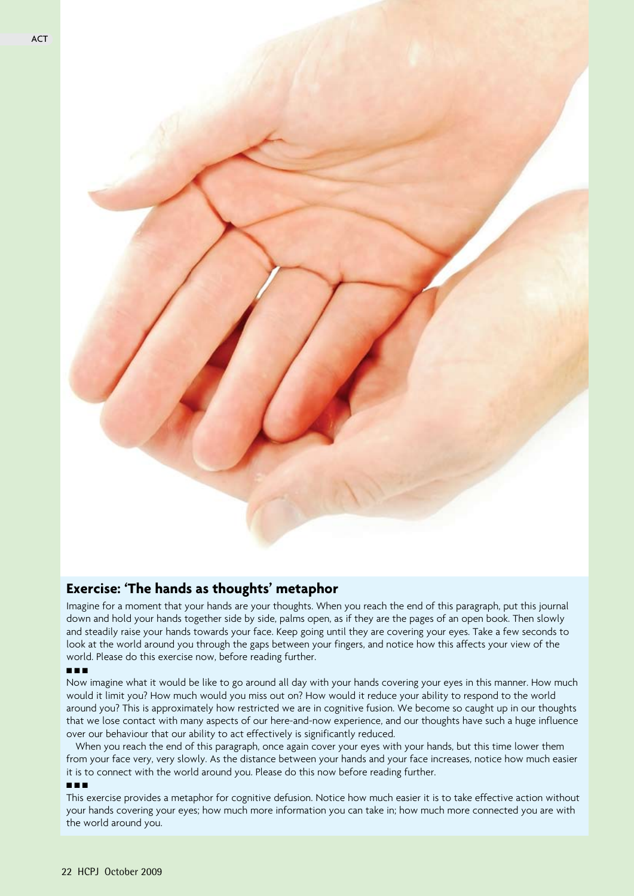

# **Exercise: 'The hands as thoughts' metaphor**

Imagine for a moment that your hands are your thoughts. When you reach the end of this paragraph, put this journal down and hold your hands together side by side, palms open, as if they are the pages of an open book. Then slowly and steadily raise your hands towards your face. Keep going until they are covering your eyes. Take a few seconds to look at the world around you through the gaps between your fingers, and notice how this affects your view of the world. Please do this exercise now, before reading further.

#### n n n

Now imagine what it would be like to go around all day with your hands covering your eyes in this manner. How much would it limit you? How much would you miss out on? How would it reduce your ability to respond to the world around you? This is approximately how restricted we are in cognitive fusion. We become so caught up in our thoughts that we lose contact with many aspects of our here-and-now experience, and our thoughts have such a huge influence over our behaviour that our ability to act effectively is significantly reduced.

When you reach the end of this paragraph, once again cover your eyes with your hands, but this time lower them from your face very, very slowly. As the distance between your hands and your face increases, notice how much easier it is to connect with the world around you. Please do this now before reading further.

#### n n n

This exercise provides a metaphor for cognitive defusion. Notice how much easier it is to take effective action without your hands covering your eyes; how much more information you can take in; how much more connected you are with the world around you.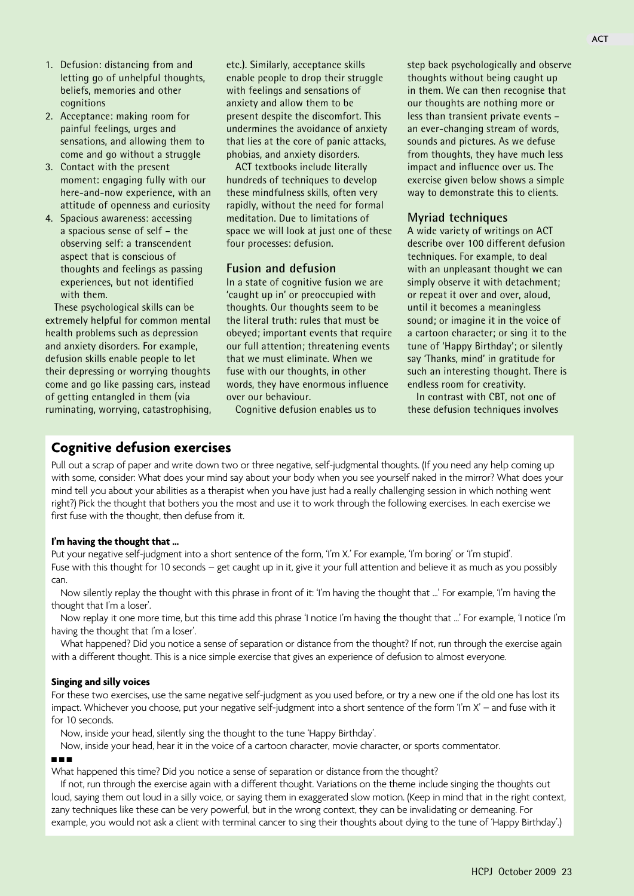- 1. Defusion: distancing from and letting go of unhelpful thoughts, beliefs, memories and other cognitions
- 2. Acceptance: making room for painful feelings, urges and sensations, and allowing them to come and go without a struggle
- 3. Contact with the present moment: engaging fully with our here-and-now experience, with an attitude of openness and curiosity
- 4. Spacious awareness: accessing a spacious sense of self – the observing self: a transcendent aspect that is conscious of thoughts and feelings as passing experiences, but not identified with them.

These psychological skills can be extremely helpful for common mental health problems such as depression and anxiety disorders. For example, defusion skills enable people to let their depressing or worrying thoughts come and go like passing cars, instead of getting entangled in them (via ruminating, worrying, catastrophising, etc.). Similarly, acceptance skills enable people to drop their struggle with feelings and sensations of anxiety and allow them to be present despite the discomfort. This undermines the avoidance of anxiety that lies at the core of panic attacks, phobias, and anxiety disorders.

ACT textbooks include literally hundreds of techniques to develop these mindfulness skills, often very rapidly, without the need for formal meditation. Due to limitations of space we will look at just one of these four processes: defusion.

# **Fusion and defusion**

In a state of cognitive fusion we are 'caught up in' or preoccupied with thoughts. Our thoughts seem to be the literal truth: rules that must be obeyed; important events that require our full attention; threatening events that we must eliminate. When we fuse with our thoughts, in other words, they have enormous influence over our behaviour.

Cognitive defusion enables us to

step back psychologically and observe thoughts without being caught up in them. We can then recognise that our thoughts are nothing more or less than transient private events – an ever-changing stream of words, sounds and pictures. As we defuse from thoughts, they have much less impact and influence over us. The exercise given below shows a simple way to demonstrate this to clients.

## **Myriad techniques**

A wide variety of writings on ACT describe over 100 different defusion techniques. For example, to deal with an unpleasant thought we can simply observe it with detachment; or repeat it over and over, aloud, until it becomes a meaningless sound; or imagine it in the voice of a cartoon character; or sing it to the tune of 'Happy Birthday'; or silently say 'Thanks, mind' in gratitude for such an interesting thought. There is endless room for creativity.

In contrast with CBT, not one of these defusion techniques involves

# **Cognitive defusion exercises**

Pull out a scrap of paper and write down two or three negative, self-judgmental thoughts. (If you need any help coming up with some, consider: What does your mind say about your body when you see yourself naked in the mirror? What does your mind tell you about your abilities as a therapist when you have just had a really challenging session in which nothing went right?) Pick the thought that bothers you the most and use it to work through the following exercises. In each exercise we first fuse with the thought, then defuse from it.

#### **I'm having the thought that …**

Put your negative self-judgment into a short sentence of the form, 'I'm X.' For example, 'I'm boring' or 'I'm stupid'. Fuse with this thought for 10 seconds – get caught up in it, give it your full attention and believe it as much as you possibly can.

Now silently replay the thought with this phrase in front of it: 'I'm having the thought that ...' For example, 'I'm having the thought that I'm a loser'.

Now replay it one more time, but this time add this phrase 'I notice I'm having the thought that …' For example, 'I notice I'm having the thought that I'm a loser'.

What happened? Did you notice a sense of separation or distance from the thought? If not, run through the exercise again with a different thought. This is a nice simple exercise that gives an experience of defusion to almost everyone.

#### **Singing and silly voices**

For these two exercises, use the same negative self-judgment as you used before, or try a new one if the old one has lost its impact. Whichever you choose, put your negative self-judgment into a short sentence of the form 'I'm X' – and fuse with it for 10 seconds.

Now, inside your head, silently sing the thought to the tune 'Happy Birthday'.

Now, inside your head, hear it in the voice of a cartoon character, movie character, or sports commentator.

## n n n

What happened this time? Did you notice a sense of separation or distance from the thought?

If not, run through the exercise again with a different thought. Variations on the theme include singing the thoughts out loud, saying them out loud in a silly voice, or saying them in exaggerated slow motion. (Keep in mind that in the right context, zany techniques like these can be very powerful, but in the wrong context, they can be invalidating or demeaning. For example, you would not ask a client with terminal cancer to sing their thoughts about dying to the tune of 'Happy Birthday'.)